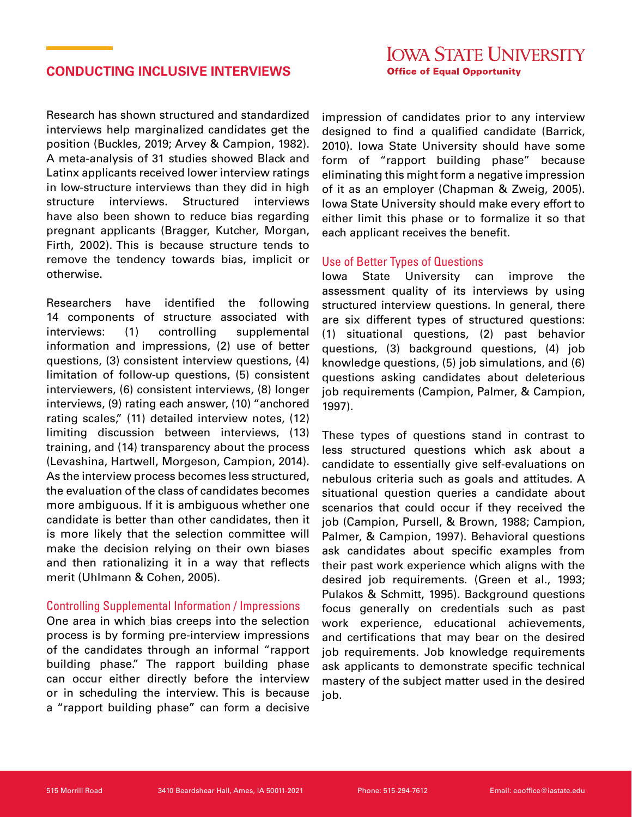## **CONDUCTING INCLUSIVE INTERVIEWS**

Research has shown structured and standardized interviews help marginalized candidates get the position (Buckles, 2019; Arvey & Campion, 1982). A meta-analysis of 31 studies showed Black and Latinx applicants received lower interview ratings in low-structure interviews than they did in high structure interviews. Structured interviews have also been shown to reduce bias regarding pregnant applicants (Bragger, Kutcher, Morgan, Firth, 2002). This is because structure tends to remove the tendency towards bias, implicit or otherwise.

Researchers have identified the following 14 components of structure associated with interviews: (1) controlling supplemental information and impressions, (2) use of better questions, (3) consistent interview questions, (4) limitation of follow-up questions, (5) consistent interviewers, (6) consistent interviews, (8) longer interviews, (9) rating each answer, (10) "anchored rating scales," (11) detailed interview notes, (12) limiting discussion between interviews, (13) training, and (14) transparency about the process (Levashina, Hartwell, Morgeson, Campion, 2014). As the interview process becomes less structured, the evaluation of the class of candidates becomes more ambiguous. If it is ambiguous whether one candidate is better than other candidates, then it is more likely that the selection committee will make the decision relying on their own biases and then rationalizing it in a way that reflects merit (Uhlmann & Cohen, 2005).

## Controlling Supplemental Information / Impressions

One area in which bias creeps into the selection process is by forming pre-interview impressions of the candidates through an informal "rapport building phase." The rapport building phase can occur either directly before the interview or in scheduling the interview. This is because a "rapport building phase" can form a decisive

impression of candidates prior to any interview designed to find a qualified candidate (Barrick, 2010). Iowa State University should have some form of "rapport building phase" because eliminating this might form a negative impression of it as an employer (Chapman & Zweig, 2005). Iowa State University should make every effort to either limit this phase or to formalize it so that each applicant receives the benefit.

## Use of Better Types of Questions

Iowa State University can improve the assessment quality of its interviews by using structured interview questions. In general, there are six different types of structured questions: (1) situational questions, (2) past behavior questions, (3) background questions, (4) job knowledge questions, (5) job simulations, and (6) questions asking candidates about deleterious job requirements (Campion, Palmer, & Campion, 1997).

These types of questions stand in contrast to less structured questions which ask about a candidate to essentially give self-evaluations on nebulous criteria such as goals and attitudes. A situational question queries a candidate about scenarios that could occur if they received the job (Campion, Pursell, & Brown, 1988; Campion, Palmer, & Campion, 1997). Behavioral questions ask candidates about specific examples from their past work experience which aligns with the desired job requirements. (Green et al., 1993; Pulakos & Schmitt, 1995). Background questions focus generally on credentials such as past work experience, educational achievements, and certifications that may bear on the desired job requirements. Job knowledge requirements ask applicants to demonstrate specific technical mastery of the subject matter used in the desired job.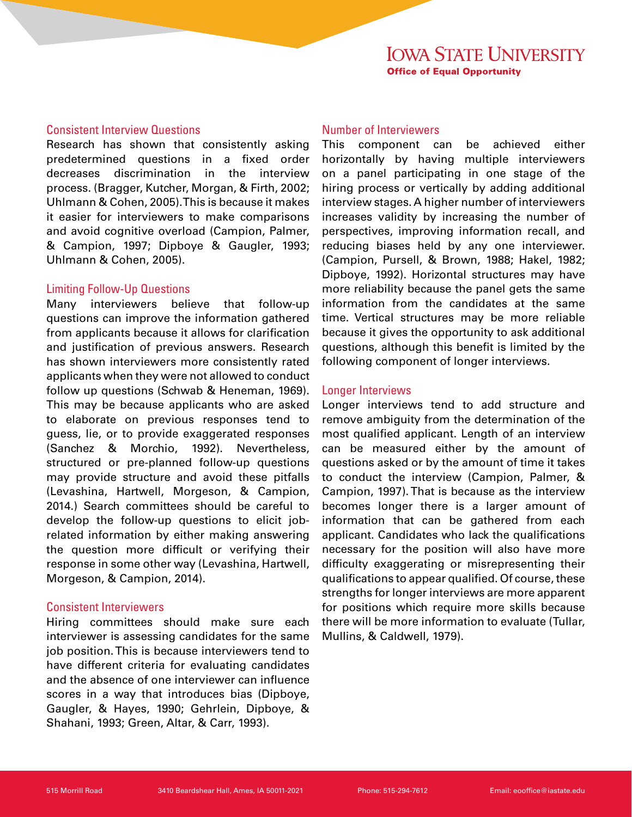## Consistent Interview Questions

Research has shown that consistently asking predetermined questions in a fixed order decreases discrimination in the interview process. (Bragger, Kutcher, Morgan, & Firth, 2002; Uhlmann & Cohen, 2005). This is because it makes it easier for interviewers to make comparisons and avoid cognitive overload (Campion, Palmer, & Campion, 1997; Dipboye & Gaugler, 1993; Uhlmann & Cohen, 2005).

### Limiting Follow-Up Questions

Many interviewers believe that follow-up questions can improve the information gathered from applicants because it allows for clarification and justification of previous answers. Research has shown interviewers more consistently rated applicants when they were not allowed to conduct follow up questions (Schwab & Heneman, 1969). This may be because applicants who are asked to elaborate on previous responses tend to guess, lie, or to provide exaggerated responses (Sanchez & Morchio, 1992). Nevertheless, structured or pre-planned follow-up questions may provide structure and avoid these pitfalls (Levashina, Hartwell, Morgeson, & Campion, 2014.) Search committees should be careful to develop the follow-up questions to elicit jobrelated information by either making answering the question more difficult or verifying their response in some other way (Levashina, Hartwell, Morgeson, & Campion, 2014).

#### Consistent Interviewers

Hiring committees should make sure each interviewer is assessing candidates for the same job position. This is because interviewers tend to have different criteria for evaluating candidates and the absence of one interviewer can influence scores in a way that introduces bias (Dipboye, Gaugler, & Hayes, 1990; Gehrlein, Dipboye, & Shahani, 1993; Green, Altar, & Carr, 1993).

## Number of Interviewers

This component can be achieved either horizontally by having multiple interviewers on a panel participating in one stage of the hiring process or vertically by adding additional interview stages. A higher number of interviewers increases validity by increasing the number of perspectives, improving information recall, and reducing biases held by any one interviewer. (Campion, Pursell, & Brown, 1988; Hakel, 1982; Dipboye, 1992). Horizontal structures may have more reliability because the panel gets the same information from the candidates at the same time. Vertical structures may be more reliable because it gives the opportunity to ask additional questions, although this benefit is limited by the following component of longer interviews.

### Longer Interviews

Longer interviews tend to add structure and remove ambiguity from the determination of the most qualified applicant. Length of an interview can be measured either by the amount of questions asked or by the amount of time it takes to conduct the interview (Campion, Palmer, & Campion, 1997). That is because as the interview becomes longer there is a larger amount of information that can be gathered from each applicant. Candidates who lack the qualifications necessary for the position will also have more difficulty exaggerating or misrepresenting their qualifications to appear qualified. Of course, these strengths for longer interviews are more apparent for positions which require more skills because there will be more information to evaluate (Tullar, Mullins, & Caldwell, 1979).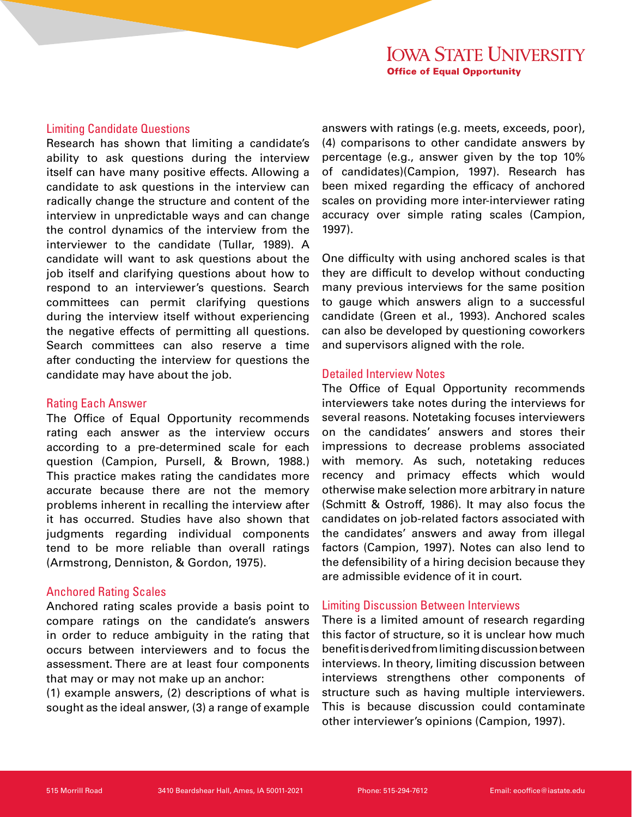#### Limiting Candidate Questions

Research has shown that limiting a candidate's ability to ask questions during the interview itself can have many positive effects. Allowing a candidate to ask questions in the interview can radically change the structure and content of the interview in unpredictable ways and can change the control dynamics of the interview from the interviewer to the candidate (Tullar, 1989). A candidate will want to ask questions about the job itself and clarifying questions about how to respond to an interviewer's questions. Search committees can permit clarifying questions during the interview itself without experiencing the negative effects of permitting all questions. Search committees can also reserve a time after conducting the interview for questions the candidate may have about the job.

### Rating Each Answer

The Office of Equal Opportunity recommends rating each answer as the interview occurs according to a pre-determined scale for each question (Campion, Pursell, & Brown, 1988.) This practice makes rating the candidates more accurate because there are not the memory problems inherent in recalling the interview after it has occurred. Studies have also shown that judgments regarding individual components tend to be more reliable than overall ratings (Armstrong, Denniston, & Gordon, 1975).

## Anchored Rating Scales

Anchored rating scales provide a basis point to compare ratings on the candidate's answers in order to reduce ambiguity in the rating that occurs between interviewers and to focus the assessment. There are at least four components that may or may not make up an anchor:

(1) example answers, (2) descriptions of what is sought as the ideal answer, (3) a range of example answers with ratings (e.g. meets, exceeds, poor), (4) comparisons to other candidate answers by percentage (e.g., answer given by the top 10% of candidates)(Campion, 1997). Research has been mixed regarding the efficacy of anchored scales on providing more inter-interviewer rating accuracy over simple rating scales (Campion, 1997).

One difficulty with using anchored scales is that they are difficult to develop without conducting many previous interviews for the same position to gauge which answers align to a successful candidate (Green et al., 1993). Anchored scales can also be developed by questioning coworkers and supervisors aligned with the role.

### Detailed Interview Notes

The Office of Equal Opportunity recommends interviewers take notes during the interviews for several reasons. Notetaking focuses interviewers on the candidates' answers and stores their impressions to decrease problems associated with memory. As such, notetaking reduces recency and primacy effects which would otherwise make selection more arbitrary in nature (Schmitt & Ostroff, 1986). It may also focus the candidates on job-related factors associated with the candidates' answers and away from illegal factors (Campion, 1997). Notes can also lend to the defensibility of a hiring decision because they are admissible evidence of it in court.

## Limiting Discussion Between Interviews

There is a limited amount of research regarding this factor of structure, so it is unclear how much benefit is derived from limiting discussion between interviews. In theory, limiting discussion between interviews strengthens other components of structure such as having multiple interviewers. This is because discussion could contaminate other interviewer's opinions (Campion, 1997).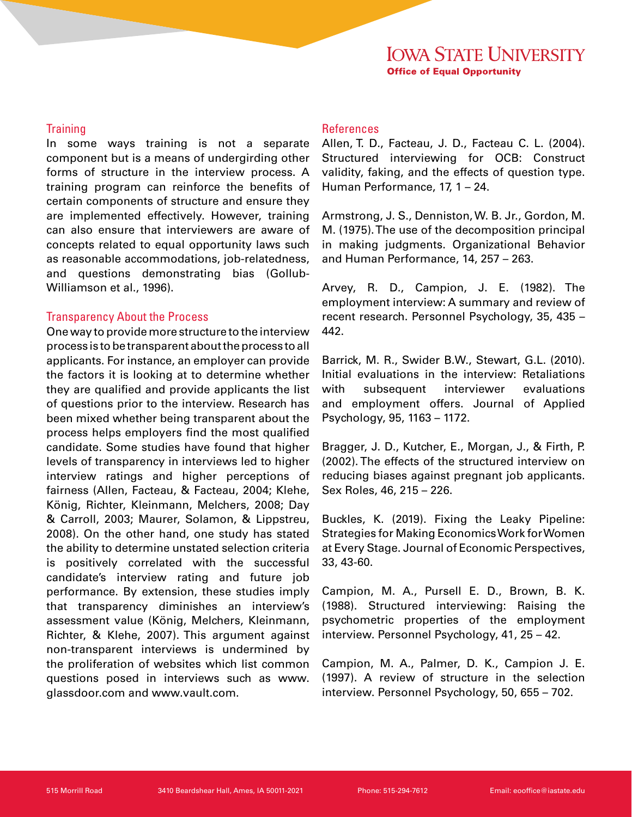#### **Training**

In some ways training is not a separate component but is a means of undergirding other forms of structure in the interview process. A training program can reinforce the benefits of certain components of structure and ensure they are implemented effectively. However, training can also ensure that interviewers are aware of concepts related to equal opportunity laws such as reasonable accommodations, job-relatedness, and questions demonstrating bias (Gollub-Williamson et al., 1996).

## Transparency About the Process

One way to provide more structure to the interview process is to be transparent about the process to all applicants. For instance, an employer can provide the factors it is looking at to determine whether they are qualified and provide applicants the list of questions prior to the interview. Research has been mixed whether being transparent about the process helps employers find the most qualified candidate. Some studies have found that higher levels of transparency in interviews led to higher interview ratings and higher perceptions of fairness (Allen, Facteau, & Facteau, 2004; Klehe, König, Richter, Kleinmann, Melchers, 2008; Day & Carroll, 2003; Maurer, Solamon, & Lippstreu, 2008). On the other hand, one study has stated the ability to determine unstated selection criteria is positively correlated with the successful candidate's interview rating and future job performance. By extension, these studies imply that transparency diminishes an interview's assessment value (König, Melchers, Kleinmann, Richter, & Klehe, 2007). This argument against non-transparent interviews is undermined by the proliferation of websites which list common questions posed in interviews such as www. glassdoor.com and www.vault.com.

## References

Allen, T. D., Facteau, J. D., Facteau C. L. (2004). Structured interviewing for OCB: Construct validity, faking, and the effects of question type. Human Performance, 17, 1 – 24.

Armstrong, J. S., Denniston, W. B. Jr., Gordon, M. M. (1975). The use of the decomposition principal in making judgments. Organizational Behavior and Human Performance, 14, 257 – 263.

Arvey, R. D., Campion, J. E. (1982). The employment interview: A summary and review of recent research. Personnel Psychology, 35, 435 – 442.

Barrick, M. R., Swider B.W., Stewart, G.L. (2010). Initial evaluations in the interview: Retaliations with subsequent interviewer evaluations and employment offers. Journal of Applied Psychology, 95, 1163 – 1172.

Bragger, J. D., Kutcher, E., Morgan, J., & Firth, P. (2002). The effects of the structured interview on reducing biases against pregnant job applicants. Sex Roles, 46, 215 – 226.

Buckles, K. (2019). Fixing the Leaky Pipeline: Strategies for Making Economics Work for Women at Every Stage. Journal of Economic Perspectives, 33, 43-60.

Campion, M. A., Pursell E. D., Brown, B. K. (1988). Structured interviewing: Raising the psychometric properties of the employment interview. Personnel Psychology, 41, 25 – 42.

Campion, M. A., Palmer, D. K., Campion J. E. (1997). A review of structure in the selection interview. Personnel Psychology, 50, 655 – 702.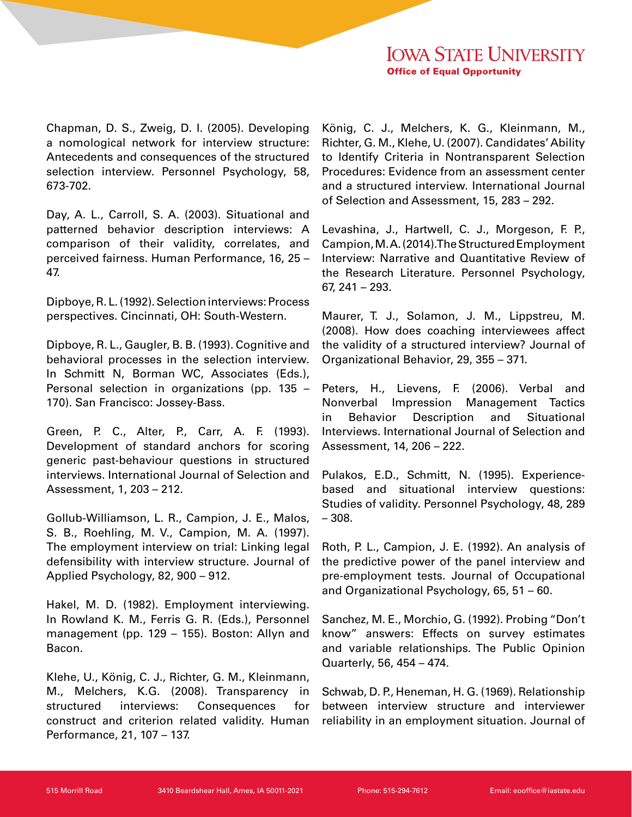Chapman, D. S., Zweig, D. I. (2005). Developing a nomological network for interview structure: Antecedents and consequences of the structured selection interview. Personnel Psychology, 58, 673-702.

Day, A. L., Carroll, S. A. (2003). Situational and patterned behavior description interviews: A comparison of their validity, correlates, and perceived fairness. Human Performance, 16, 25 – 47.

Dipboye, R. L. (1992). Selection interviews: Process perspectives. Cincinnati, OH: South-Western.

Dipboye, R. L., Gaugler, B. B. (1993). Cognitive and behavioral processes in the selection interview. In Schmitt N, Borman WC, Associates (Eds.), Personal selection in organizations (pp. 135 – 170). San Francisco: Jossey-Bass.

Green, P. C., Alter, P., Carr, A. F. (1993). Development of standard anchors for scoring generic past-behaviour questions in structured interviews. International Journal of Selection and Assessment, 1, 203 – 212.

Gollub-Williamson, L. R., Campion, J. E., Malos, S. B., Roehling, M. V., Campion, M. A. (1997). The employment interview on trial: Linking legal defensibility with interview structure. Journal of Applied Psychology, 82, 900 – 912.

Hakel, M. D. (1982). Employment interviewing. In Rowland K. M., Ferris G. R. (Eds.), Personnel management (pp. 129 – 155). Boston: Allyn and Bacon.

Klehe, U., König, C. J., Richter, G. M., Kleinmann, M., Melchers, K.G. (2008). Transparency in structured interviews: Consequences for construct and criterion related validity. Human Performance, 21, 107 – 137.

König, C. J., Melchers, K. G., Kleinmann, M., Richter, G. M., Klehe, U. (2007). Candidates' Ability to Identify Criteria in Nontransparent Selection Procedures: Evidence from an assessment center and a structured interview. International Journal of Selection and Assessment, 15, 283 – 292.

Levashina, J., Hartwell, C. J., Morgeson, F. P., Campion, M. A. (2014). The Structured Employment Interview: Narrative and Quantitative Review of the Research Literature. Personnel Psychology, 67, 241 – 293.

Maurer, T. J., Solamon, J. M., Lippstreu, M. (2008). How does coaching interviewees affect the validity of a structured interview? Journal of Organizational Behavior, 29, 355 – 371.

Peters, H., Lievens, F. (2006). Verbal and Nonverbal Impression Management Tactics in Behavior Description and Situational Interviews. International Journal of Selection and Assessment, 14, 206 – 222.

Pulakos, E.D., Schmitt, N. (1995). Experiencebased and situational interview questions: Studies of validity. Personnel Psychology, 48, 289 – 308.

Roth, P. L., Campion, J. E. (1992). An analysis of the predictive power of the panel interview and pre-employment tests. Journal of Occupational and Organizational Psychology, 65, 51 – 60.

Sanchez, M. E., Morchio, G. (1992). Probing "Don't know" answers: Effects on survey estimates and variable relationships. The Public Opinion Quarterly, 56, 454 – 474.

Schwab, D. P., Heneman, H. G. (1969). Relationship between interview structure and interviewer reliability in an employment situation. Journal of